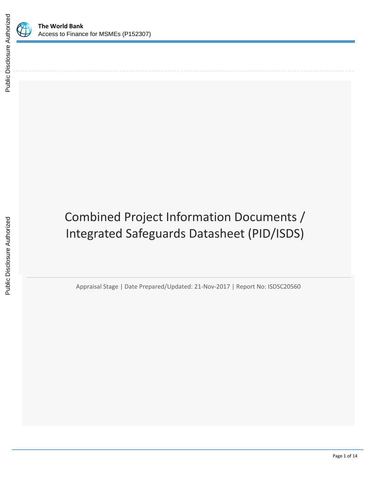

# Combined Project Information Documents / Integrated Safeguards Datasheet (PID/ISDS)

Appraisal Stage | Date Prepared/Updated: 21-Nov-2017 | Report No: ISDSC20560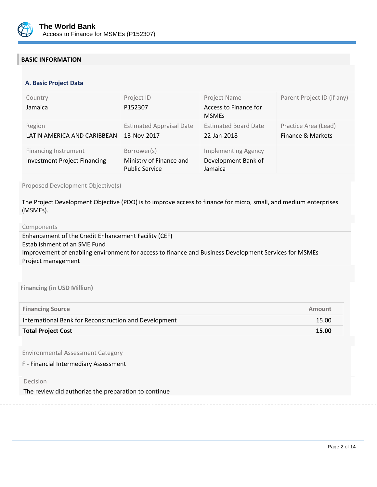

# **BASIC INFORMATION**

#### **OPS\_TABLE\_BASIC\_DATA A. Basic Project Data**

| Country<br>Jamaica                  | Project ID<br>P152307                            | Project Name<br>Access to Finance for | Parent Project ID (if any) |
|-------------------------------------|--------------------------------------------------|---------------------------------------|----------------------------|
|                                     |                                                  | <b>MSMEs</b>                          |                            |
| Region                              | <b>Estimated Appraisal Date</b>                  | <b>Estimated Board Date</b>           | Practice Area (Lead)       |
| LATIN AMERICA AND CARIBBEAN         | 13-Nov-2017                                      | 22-Jan-2018                           | Finance & Markets          |
| <b>Financing Instrument</b>         | Borrower(s)                                      | <b>Implementing Agency</b>            |                            |
| <b>Investment Project Financing</b> | Ministry of Finance and<br><b>Public Service</b> | Development Bank of<br>Jamaica        |                            |

Proposed Development Objective(s)

The Project Development Objective (PDO) is to improve access to finance for micro, small, and medium enterprises (MSMEs).

#### Components

Enhancement of the Credit Enhancement Facility (CEF) Establishment of an SME Fund Improvement of enabling environment for access to finance and Business Development Services for MSMEs Project management

**Financing (in USD Million)**

| <b>Financing Source</b>                               | Amount |
|-------------------------------------------------------|--------|
| International Bank for Reconstruction and Development | 15.00  |
| <b>Total Project Cost</b>                             | 15.00  |

Environmental Assessment Category

F - Financial Intermediary Assessment

Decision

The review did authorize the preparation to continue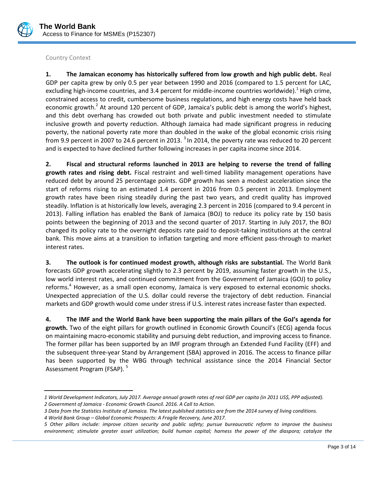

# Country Context

 $\overline{\phantom{a}}$ 

**1. The Jamaican economy has historically suffered from low growth and high public debt.** Real GDP per capita grew by only 0.5 per year between 1990 and 2016 (compared to 1.5 percent for LAC, excluding high-income countries, and 3.4 percent for middle-income countries worldwide).<sup>1</sup> High crime, constrained access to credit, cumbersome business regulations, and high energy costs have held back economic growth.<sup>2</sup> At around 120 percent of GDP, Jamaica's public debt is among the world's highest, and this debt overhang has crowded out both private and public investment needed to stimulate inclusive growth and poverty reduction. Although Jamaica had made significant progress in reducing poverty, the national poverty rate more than doubled in the wake of the global economic crisis rising from 9.9 percent in 2007 to 24.6 percent in 2013.  $3$  In 2014, the poverty rate was reduced to 20 percent and is expected to have declined further following increases in per capita income since 2014.

**2. Fiscal and structural reforms launched in 2013 are helping to reverse the trend of falling growth rates and rising debt.** Fiscal restraint and well-timed liability management operations have reduced debt by around 25 percentage points. GDP growth has seen a modest acceleration since the start of reforms rising to an estimated 1.4 percent in 2016 from 0.5 percent in 2013. Employment growth rates have been rising steadily during the past two years, and credit quality has improved steadily. Inflation is at historically low levels, averaging 2.3 percent in 2016 (compared to 9.4 percent in 2013). Falling inflation has enabled the Bank of Jamaica (BOJ) to reduce its policy rate by 150 basis points between the beginning of 2013 and the second quarter of 2017. Starting in July 2017, the BOJ changed its policy rate to the overnight deposits rate paid to deposit‐taking institutions at the central bank. This move aims at a transition to inflation targeting and more efficient pass-through to market interest rates.

**3. The outlook is for continued modest growth, although risks are substantial.** The World Bank forecasts GDP growth accelerating slightly to 2.3 percent by 2019, assuming faster growth in the U.S., low world interest rates, and continued commitment from the Government of Jamaica (GOJ) to policy reforms.<sup>4</sup> However, as a small open economy, Jamaica is very exposed to external economic shocks. Unexpected appreciation of the U.S. dollar could reverse the trajectory of debt reduction. Financial markets and GDP growth would come under stress if U.S. interest rates increase faster than expected.

**4. The IMF and the World Bank have been supporting the main pillars of the GoJ's agenda for growth.** Two of the eight pillars for growth outlined in Economic Growth Council's (ECG) agenda focus on maintaining macro-economic stability and pursuing debt reduction, and improving access to finance. The former pillar has been supported by an IMF program through an Extended Fund Facility (EFF) and the subsequent three-year Stand by Arrangement (SBA) approved in 2016. The access to finance pillar has been supported by the WBG through technical assistance since the 2014 Financial Sector Assessment Program (FSAP).<sup>5</sup>

*<sup>1</sup> World Development Indicators, July 2017. Average annual growth rates of real GDP per capita (in 2011 US\$, PPP adjusted). 2 Government of Jamaica - Economic Growth Council. 2016. A Call to Action.*

*<sup>3</sup> Data from the Statistics Institute of Jamaica. The latest published statistics are from the 2014 survey of living conditions.*

*<sup>4</sup> World Bank Group – Global Economic Prospects: A Fragile Recovery, June 2017.*

*<sup>5</sup> Other pillars include: improve citizen security and public safety; pursue bureaucratic reform to improve the business environment; stimulate greater asset utilization; build human capital; harness the power of the diaspora; catalyze the*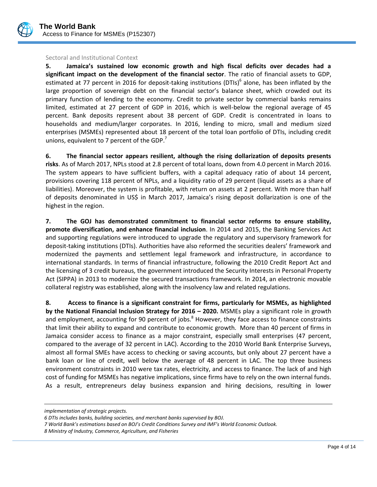

#### Sectoral and Institutional Context

**5. Jamaica's sustained low economic growth and high fiscal deficits over decades had a significant impact on the development of the financial sector**. The ratio of financial assets to GDP, estimated at 77 percent in 2016 for deposit-taking institutions (DTIs)<sup>6</sup> alone, has been inflated by the large proportion of sovereign debt on the financial sector's balance sheet, which crowded out its primary function of lending to the economy. Credit to private sector by commercial banks remains limited, estimated at 27 percent of GDP in 2016, which is well-below the regional average of 45 percent. Bank deposits represent about 38 percent of GDP. Credit is concentrated in loans to households and medium/larger corporates. In 2016, lending to micro, small and medium sized enterprises (MSMEs) represented about 18 percent of the total loan portfolio of DTIs, including credit unions, equivalent to 7 percent of the GDP. $<sup>7</sup>$ </sup>

**6. The financial sector appears resilient, although the rising dollarization of deposits presents risks**. As of March 2017, NPLs stood at 2.8 percent of total loans, down from 4.0 percent in March 2016. The system appears to have sufficient buffers, with a capital adequacy ratio of about 14 percent, provisions covering 118 percent of NPLs, and a liquidity ratio of 29 percent (liquid assets as a share of liabilities). Moreover, the system is profitable, with return on assets at 2 percent. With more than half of deposits denominated in US\$ in March 2017, Jamaica's rising deposit dollarization is one of the highest in the region.

**7. The GOJ has demonstrated commitment to financial sector reforms to ensure stability, promote diversification, and enhance financial inclusion**. In 2014 and 2015, the Banking Services Act and supporting regulations were introduced to upgrade the regulatory and supervisory framework for deposit-taking institutions (DTIs). Authorities have also reformed the securities dealers' framework and modernized the payments and settlement legal framework and infrastructure, in accordance to international standards. In terms of financial infrastructure, following the 2010 Credit Report Act and the licensing of 3 credit bureaus, the government introduced the Security Interests in Personal Property Act (SIPPA) in 2013 to modernize the secured transactions framework. In 2014, an electronic movable collateral registry was established, along with the insolvency law and related regulations.

**8. Access to finance is a significant constraint for firms, particularly for MSMEs, as highlighted by the National Financial Inclusion Strategy for 2016 – 2020.** MSMEs play a significant role in growth and employment, accounting for 90 percent of jobs.<sup>8</sup> However, they face access to finance constraints that limit their ability to expand and contribute to economic growth. More than 40 percent of firms in Jamaica consider access to finance as a major constraint, especially small enterprises (47 percent, compared to the average of 32 percent in LAC). According to the 2010 World Bank Enterprise Surveys, almost all formal SMEs have access to checking or saving accounts, but only about 27 percent have a bank loan or line of credit, well below the average of 48 percent in LAC. The top three business environment constraints in 2010 were tax rates, electricity, and access to finance. The lack of and high cost of funding for MSMEs has negative implications, since firms have to rely on the own internal funds. As a result, entrepreneurs delay business expansion and hiring decisions, resulting in lower

l

*implementation of strategic projects.*

*<sup>6</sup> DTIs includes banks, building societies, and merchant banks supervised by BOJ.*

*<sup>7</sup> World Bank's estimations based on BOJ's Credit Conditions Survey and IMF's World Economic Outlook.*

*<sup>8</sup> Ministry of Industry, Commerce, Agriculture, and Fisheries*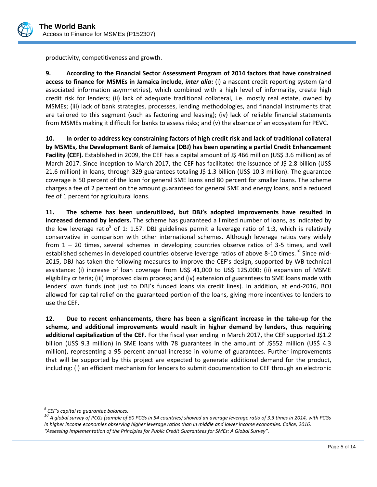

productivity, competitiveness and growth.

**9. According to the Financial Sector Assessment Program of 2014 factors that have constrained access to finance for MSMEs in Jamaica include,** *inter alia***:** (i) a nascent credit reporting system (and associated information asymmetries), which combined with a high level of informality, create high credit risk for lenders; (ii) lack of adequate traditional collateral, i.e. mostly real estate, owned by MSMEs; (iii) lack of bank strategies, processes, lending methodologies, and financial instruments that are tailored to this segment (such as factoring and leasing); (iv) lack of reliable financial statements from MSMEs making it difficult for banks to assess risks; and (v) the absence of an ecosystem for PEVC.

**10. In order to address key constraining factors of high credit risk and lack of traditional collateral by MSMEs, the Development Bank of Jamaica (DBJ) has been operating a partial Credit Enhancement**  Facility (CEF). Established in 2009, the CEF has a capital amount of J\$ 466 million (US\$ 3.6 million) as of March 2017. Since inception to March 2017, the CEF has facilitated the issuance of J\$ 2.8 billion (US\$ 21.6 million) in loans, through 329 guarantees totaling J\$ 1.3 billion (US\$ 10.3 million). The guarantee coverage is 50 percent of the loan for general SME loans and 80 percent for smaller loans. The scheme charges a fee of 2 percent on the amount guaranteed for general SME and energy loans, and a reduced fee of 1 percent for agricultural loans.

**11. The scheme has been underutilized, but DBJ's adopted improvements have resulted in increased demand by lenders.** The scheme has guaranteed a limited number of loans, as indicated by the low leverage ratio<sup>9</sup> of 1: 1.57. DBJ guidelines permit a leverage ratio of 1:3, which is relatively conservative in comparison with other international schemes. Although leverage ratios vary widely from 1 – 20 times, several schemes in developing countries observe ratios of 3-5 times, and well established schemes in developed countries observe leverage ratios of above 8-10 times.<sup>10</sup> Since mid-2015, DBJ has taken the following measures to improve the CEF's design, supported by WB technical assistance: (i) increase of loan coverage from US\$ 41,000 to US\$ 125,000; (ii) expansion of MSME eligibility criteria; (iii) improved claim process; and (iv) extension of guarantees to SME loans made with lenders' own funds (not just to DBJ's funded loans via credit lines). In addition, at end-2016, BOJ allowed for capital relief on the guaranteed portion of the loans, giving more incentives to lenders to use the CEF.

**12. Due to recent enhancements, there has been a significant increase in the take-up for the scheme, and additional improvements would result in higher demand by lenders, thus requiring**  additional capitalization of the CEF. For the fiscal year ending in March 2017, the CEF supported J\$1.2 billion (US\$ 9.3 million) in SME loans with 78 guarantees in the amount of J\$552 million (US\$ 4.3 million), representing a 95 percent annual increase in volume of guarantees. Further improvements that will be supported by this project are expected to generate additional demand for the product, including: (i) an efficient mechanism for lenders to submit documentation to CEF through an electronic

l

*<sup>9</sup> CEF's capital to guarantee balances.*

*<sup>10</sup> A global survey of PCGs (sample of 60 PCGs in 54 countries) showed an average leverage ratio of 3.3 times in 2014, with PCGs*  in higher income economies observing higher leverage ratios than in middle and lower income economies. Calice, 2016. *"Assessing Implementation of the Principles for Public Credit Guarantees for SMEs: A Global Survey".*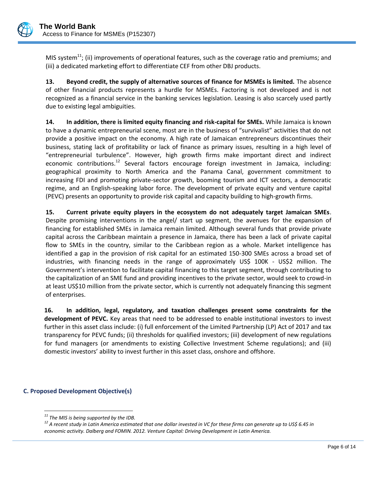

MIS system<sup>11</sup>; (ii) improvements of operational features, such as the coverage ratio and premiums; and (iii) a dedicated marketing effort to differentiate CEF from other DBJ products.

**13. Beyond credit, the supply of alternative sources of finance for MSMEs is limited.** The absence of other financial products represents a hurdle for MSMEs. Factoring is not developed and is not recognized as a financial service in the banking services legislation. Leasing is also scarcely used partly due to existing legal ambiguities.

**14. In addition, there is limited equity financing and risk-capital for SMEs.** While Jamaica is known to have a dynamic entrepreneurial scene, most are in the business of "survivalist" activities that do not provide a positive impact on the economy. A high rate of Jamaican entrepreneurs discontinues their business, stating lack of profitability or lack of finance as primary issues, resulting in a high level of "entrepreneurial turbulence". However, high growth firms make important direct and indirect economic contributions.<sup>12</sup> Several factors encourage foreign investment in Jamaica, including: geographical proximity to North America and the Panama Canal, government commitment to increasing FDI and promoting private-sector growth, booming tourism and ICT sectors, a democratic regime, and an English-speaking labor force. The development of private equity and venture capital (PEVC) presents an opportunity to provide risk capital and capacity building to high-growth firms.

**15. Current private equity players in the ecosystem do not adequately target Jamaican SMEs**. Despite promising interventions in the angel/ start up segment, the avenues for the expansion of financing for established SMEs in Jamaica remain limited. Although several funds that provide private capital across the Caribbean maintain a presence in Jamaica, there has been a lack of private capital flow to SMEs in the country, similar to the Caribbean region as a whole. Market intelligence has identified a gap in the provision of risk capital for an estimated 150-300 SMEs across a broad set of industries, with financing needs in the range of approximately US\$ 100K - US\$2 million. The Government's intervention to facilitate capital financing to this target segment, through contributing to the capitalization of an SME fund and providing incentives to the private sector, would seek to crowd-in at least US\$10 million from the private sector, which is currently not adequately financing this segment of enterprises.

**16. In addition, legal, regulatory, and taxation challenges present some constraints for the development of PEVC.** Key areas that need to be addressed to enable institutional investors to invest further in this asset class include: (i) full enforcement of the Limited Partnership (LP) Act of 2017 and tax transparency for PEVC funds; (ii) thresholds for qualified investors; (iii) development of new regulations for fund managers (or amendments to existing Collective Investment Scheme regulations); and (iii) domestic investors' ability to invest further in this asset class, onshore and offshore.

# **C. Proposed Development Objective(s)**

 $\overline{\phantom{a}}$ *<sup>11</sup> The MIS is being supported by the IDB.*

*<sup>12</sup> A recent study in Latin America estimated that one dollar invested in VC for these firms can generate up to US\$ 6.45 in economic activity. Dalberg and FOMIN. 2012. Venture Capital: Driving Development in Latin America.*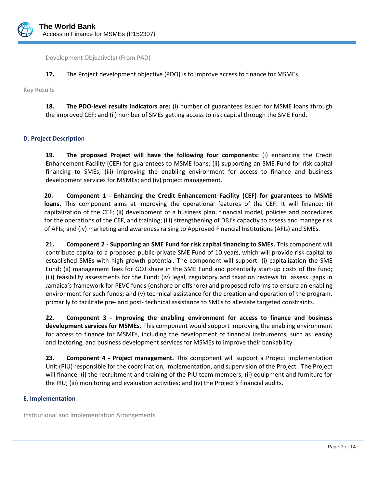

Development Objective(s) (From PAD)

**17.** The Project development objective (PDO) is to improve access to finance for MSMEs.

Key Results

**18. The PDO-level results indicators are:** (i) number of guarantees issued for MSME loans through the improved CEF; and (ii) number of SMEs getting access to risk capital through the SME Fund.

# **D. Project Description**

**19. The proposed Project will have the following four components:** (i) enhancing the Credit Enhancement Facility (CEF) for guarantees to MSME loans; (ii) supporting an SME Fund for risk capital financing to SMEs; (iii) improving the enabling environment for access to finance and business development services for MSMEs; and (iv) project management.

**20. Component 1 - Enhancing the Credit Enhancement Facility (CEF) for guarantees to MSME loans.** This component aims at improving the operational features of the CEF. It will finance: (i) capitalization of the CEF; (ii) development of a business plan, financial model, policies and procedures for the operations of the CEF, and training; (iii) strengthening of DBJ's capacity to assess and manage risk of AFIs; and (iv) marketing and awareness raising to Approved Financial Institutions (AFIs) and SMEs.

**21. Component 2 - Supporting an SME Fund for risk capital financing to SMEs.** This component will contribute capital to a proposed public-private SME Fund of 10 years, which will provide risk capital to established SMEs with high growth potential. The component will support: (i) capitalization the SME Fund; (ii) management fees for GOJ share in the SME Fund and potentially start-up costs of the fund; (iii) feasibility assessments for the Fund; (iv) legal, regulatory and taxation reviews to assess gaps in Jamaica's framework for PEVC funds (onshore or offshore) and proposed reforms to ensure an enabling environment for such funds; and (v) technical assistance for the creation and operation of the program, primarily to facilitate pre- and post- technical assistance to SMEs to alleviate targeted constraints.

**22. Component 3 - Improving the enabling environment for access to finance and business development services for MSMEs.** This component would support improving the enabling environment for access to finance for MSMEs, including the development of financial instruments, such as leasing and factoring, and business development services for MSMEs to improve their bankability.

**23. Component 4 - Project management.** This component will support a Project Implementation Unit (PIU) responsible for the coordination, implementation, and supervision of the Project. The Project will finance: (i) the recruitment and training of the PIU team members; (ii) equipment and furniture for the PIU; (iii) monitoring and evaluation activities; and (iv) the Project's financial audits.

#### **E. Implementation**

Institutional and Implementation Arrangements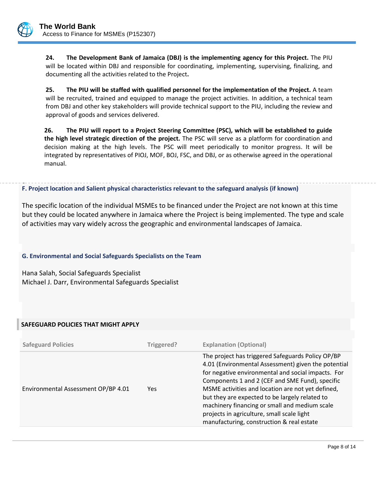

**24. The Development Bank of Jamaica (DBJ) is the implementing agency for this Project.** The PIU will be located within DBJ and responsible for coordinating, implementing, supervising, finalizing, and documenting all the activities related to the Project**.**

**25. The PIU will be staffed with qualified personnel for the implementation of the Project.** A team will be recruited, trained and equipped to manage the project activities. In addition, a technical team from DBJ and other key stakeholders will provide technical support to the PIU, including the review and approval of goods and services delivered.

**26. The PIU will report to a Project Steering Committee (PSC), which will be established to guide the high level strategic direction of the project.** The PSC will serve as a platform for coordination and decision making at the high levels. The PSC will meet periodically to monitor progress. It will be integrated by representatives of PIOJ, MOF, BOJ, FSC, and DBJ, or as otherwise agreed in the operational manual.

#### . **F. Project location and Salient physical characteristics relevant to the safeguard analysis (if known)**

The specific location of the individual MSMEs to be financed under the Project are not known at this time but they could be located anywhere in Jamaica where the Project is being implemented. The type and scale of activities may vary widely across the geographic and environmental landscapes of Jamaica.

# **G. Environmental and Social Safeguards Specialists on the Team**

Hana Salah, Social Safeguards Specialist Michael J. Darr, Environmental Safeguards Specialist

# **SAFEGUARD POLICIES THAT MIGHT APPLY**

| <b>Safeguard Policies</b>           | Triggered? | <b>Explanation (Optional)</b>                                                                                                                                                                                                                                                                                                                                                                                                                                        |
|-------------------------------------|------------|----------------------------------------------------------------------------------------------------------------------------------------------------------------------------------------------------------------------------------------------------------------------------------------------------------------------------------------------------------------------------------------------------------------------------------------------------------------------|
| Environmental Assessment OP/BP 4.01 | Yes.       | The project has triggered Safeguards Policy OP/BP<br>4.01 (Environmental Assessment) given the potential<br>for negative environmental and social impacts. For<br>Components 1 and 2 (CEF and SME Fund), specific<br>MSME activities and location are not yet defined,<br>but they are expected to be largely related to<br>machinery financing or small and medium scale<br>projects in agriculture, small scale light<br>manufacturing, construction & real estate |
|                                     |            |                                                                                                                                                                                                                                                                                                                                                                                                                                                                      |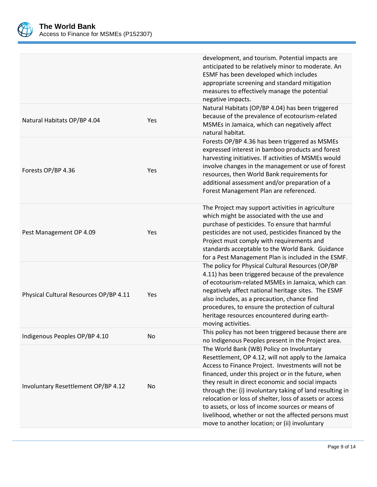

| development, and tourism. Potential impacts are<br>anticipated to be relatively minor to moderate. An<br>ESMF has been developed which includes<br>appropriate screening and standard mitigation<br>measures to effectively manage the potential<br>negative impacts.                                                                                                                                                                                                                                                                                   |
|---------------------------------------------------------------------------------------------------------------------------------------------------------------------------------------------------------------------------------------------------------------------------------------------------------------------------------------------------------------------------------------------------------------------------------------------------------------------------------------------------------------------------------------------------------|
| Natural Habitats (OP/BP 4.04) has been triggered<br>because of the prevalence of ecotourism-related<br>MSMEs in Jamaica, which can negatively affect<br>natural habitat.                                                                                                                                                                                                                                                                                                                                                                                |
| Forests OP/BP 4.36 has been triggered as MSMEs<br>expressed interest in bamboo products and forest<br>harvesting initiatives. If activities of MSMEs would<br>involve changes in the management or use of forest<br>resources, then World Bank requirements for<br>additional assessment and/or preparation of a<br>Forest Management Plan are referenced.                                                                                                                                                                                              |
| The Project may support activities in agriculture<br>which might be associated with the use and<br>purchase of pesticides. To ensure that harmful<br>pesticides are not used, pesticides financed by the<br>Project must comply with requirements and<br>standards acceptable to the World Bank. Guidance<br>for a Pest Management Plan is included in the ESMF.                                                                                                                                                                                        |
| The policy for Physical Cultural Resources (OP/BP<br>4.11) has been triggered because of the prevalence<br>of ecotourism-related MSMEs in Jamaica, which can<br>negatively affect national heritage sites. The ESMF<br>also includes, as a precaution, chance find<br>procedures, to ensure the protection of cultural<br>heritage resources encountered during earth-<br>moving activities.                                                                                                                                                            |
| This policy has not been triggered because there are<br>no Indigenous Peoples present in the Project area.                                                                                                                                                                                                                                                                                                                                                                                                                                              |
| The World Bank (WB) Policy on Involuntary<br>Resettlement, OP 4.12, will not apply to the Jamaica<br>Access to Finance Project. Investments will not be<br>financed, under this project or in the future, when<br>they result in direct economic and social impacts<br>through the: (i) involuntary taking of land resulting in<br>relocation or loss of shelter, loss of assets or access<br>to assets, or loss of income sources or means of<br>livelihood, whether or not the affected persons must<br>move to another location; or (ii) involuntary |
|                                                                                                                                                                                                                                                                                                                                                                                                                                                                                                                                                         |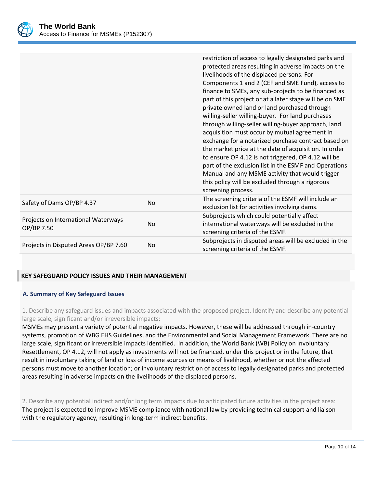

|                                                   |           | restriction of access to legally designated parks and<br>protected areas resulting in adverse impacts on the<br>livelihoods of the displaced persons. For<br>Components 1 and 2 (CEF and SME Fund), access to<br>finance to SMEs, any sub-projects to be financed as<br>part of this project or at a later stage will be on SME<br>private owned land or land purchased through<br>willing-seller willing-buyer. For land purchases<br>through willing-seller willing-buyer approach, land<br>acquisition must occur by mutual agreement in<br>exchange for a notarized purchase contract based on<br>the market price at the date of acquisition. In order<br>to ensure OP 4.12 is not triggered, OP 4.12 will be<br>part of the exclusion list in the ESMF and Operations<br>Manual and any MSME activity that would trigger<br>this policy will be excluded through a rigorous<br>screening process. |
|---------------------------------------------------|-----------|---------------------------------------------------------------------------------------------------------------------------------------------------------------------------------------------------------------------------------------------------------------------------------------------------------------------------------------------------------------------------------------------------------------------------------------------------------------------------------------------------------------------------------------------------------------------------------------------------------------------------------------------------------------------------------------------------------------------------------------------------------------------------------------------------------------------------------------------------------------------------------------------------------|
| Safety of Dams OP/BP 4.37                         | No.       | The screening criteria of the ESMF will include an<br>exclusion list for activities involving dams.                                                                                                                                                                                                                                                                                                                                                                                                                                                                                                                                                                                                                                                                                                                                                                                                     |
| Projects on International Waterways<br>OP/BP 7.50 | <b>No</b> | Subprojects which could potentially affect<br>international waterways will be excluded in the<br>screening criteria of the ESMF.                                                                                                                                                                                                                                                                                                                                                                                                                                                                                                                                                                                                                                                                                                                                                                        |
| Projects in Disputed Areas OP/BP 7.60             | No        | Subprojects in disputed areas will be excluded in the<br>screening criteria of the ESMF.                                                                                                                                                                                                                                                                                                                                                                                                                                                                                                                                                                                                                                                                                                                                                                                                                |

# **KEY SAFEGUARD POLICY ISSUES AND THEIR MANAGEMENT**

#### **A. Summary of Key Safeguard Issues**

1. Describe any safeguard issues and impacts associated with the proposed project. Identify and describe any potential large scale, significant and/or irreversible impacts:

MSMEs may present a variety of potential negative impacts. However, these will be addressed through in-country systems, promotion of WBG EHS Guidelines, and the Environmental and Social Management Framework. There are no large scale, significant or irreversible impacts identified. In addition, the World Bank (WB) Policy on Involuntary Resettlement, OP 4.12, will not apply as investments will not be financed, under this project or in the future, that result in involuntary taking of land or loss of income sources or means of livelihood, whether or not the affected persons must move to another location; or involuntary restriction of access to legally designated parks and protected areas resulting in adverse impacts on the livelihoods of the displaced persons.

2. Describe any potential indirect and/or long term impacts due to anticipated future activities in the project area: The project is expected to improve MSME compliance with national law by providing technical support and liaison with the regulatory agency, resulting in long-term indirect benefits.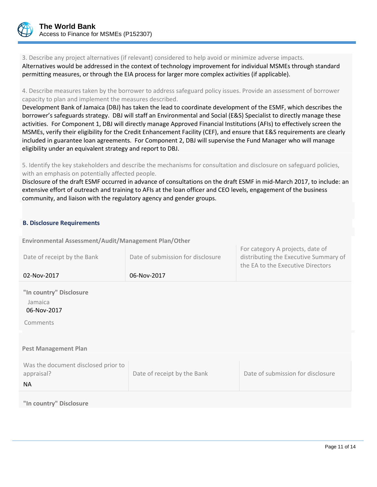

3. Describe any project alternatives (if relevant) considered to help avoid or minimize adverse impacts.

Alternatives would be addressed in the context of technology improvement for individual MSMEs through standard permitting measures, or through the EIA process for larger more complex activities (if applicable).

4. Describe measures taken by the borrower to address safeguard policy issues. Provide an assessment of borrower capacity to plan and implement the measures described.

Development Bank of Jamaica (DBJ) has taken the lead to coordinate development of the ESMF, which describes the borrower's safeguards strategy. DBJ will staff an Environmental and Social (E&S) Specialist to directly manage these activities. For Component 1, DBJ will directly manage Approved Financial Institutions (AFIs) to effectively screen the MSMEs, verify their eligibility for the Credit Enhancement Facility (CEF), and ensure that E&S requirements are clearly included in guarantee loan agreements. For Component 2, DBJ will supervise the Fund Manager who will manage eligibility under an equivalent strategy and report to DBJ.

5. Identify the key stakeholders and describe the mechanisms for consultation and disclosure on safeguard policies, with an emphasis on potentially affected people.

Disclosure of the draft ESMF occurred in advance of consultations on the draft ESMF in mid-March 2017, to include: an extensive effort of outreach and training to AFIs at the loan officer and CEO levels, engagement of the business community, and liaison with the regulatory agency and gender groups.

# **B. Disclosure Requirements**

**Environmental Assessment/Audit/Management Plan/Other** 

| Date of receipt by the Bank                       | Date of submission for disclosure | For category A projects, date of<br>distributing the Executive Summary of<br>the EA to the Executive Directors |
|---------------------------------------------------|-----------------------------------|----------------------------------------------------------------------------------------------------------------|
| 02-Nov-2017                                       | 06-Nov-2017                       |                                                                                                                |
| "In country" Disclosure<br>Jamaica<br>06-Nov-2017 |                                   |                                                                                                                |
| Comments                                          |                                   |                                                                                                                |
|                                                   |                                   |                                                                                                                |
| <b>Pest Management Plan</b>                       |                                   |                                                                                                                |
| Was the document disclosed prior to<br>appraisal? | Date of receipt by the Bank       | Date of submission for disclosure                                                                              |
| <b>NA</b>                                         |                                   |                                                                                                                |
| المستوم اممثها التسقيسوم متلال                    |                                   |                                                                                                                |

**"In country" Disclosure**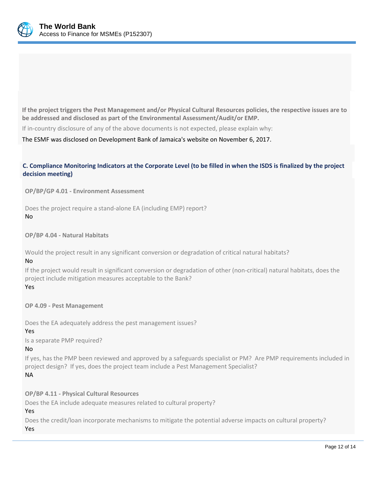

**If the project triggers the Pest Management and/or Physical Cultural Resources policies, the respective issues are to be addressed and disclosed as part of the Environmental Assessment/Audit/or EMP.**

If in-country disclosure of any of the above documents is not expected, please explain why:

The ESMF was disclosed on Development Bank of Jamaica's website on November 6, 2017.

# **C. Compliance Monitoring Indicators at the Corporate Level (to be filled in when the ISDS is finalized by the project decision meeting)**

**OP/BP/GP 4.01 - Environment Assessment** 

Does the project require a stand-alone EA (including EMP) report? No

**OP/BP 4.04 - Natural Habitats**

Would the project result in any significant conversion or degradation of critical natural habitats? No

If the project would result in significant conversion or degradation of other (non-critical) natural habitats, does the project include mitigation measures acceptable to the Bank?

Yes

**OP 4.09 - Pest Management**

Does the EA adequately address the pest management issues?

Yes

Is a separate PMP required?

No

If yes, has the PMP been reviewed and approved by a safeguards specialist or PM? Are PMP requirements included in project design? If yes, does the project team include a Pest Management Specialist?

NA

**OP/BP 4.11 - Physical Cultural Resources** Does the EA include adequate measures related to cultural property?

Yes

Does the credit/loan incorporate mechanisms to mitigate the potential adverse impacts on cultural property? Yes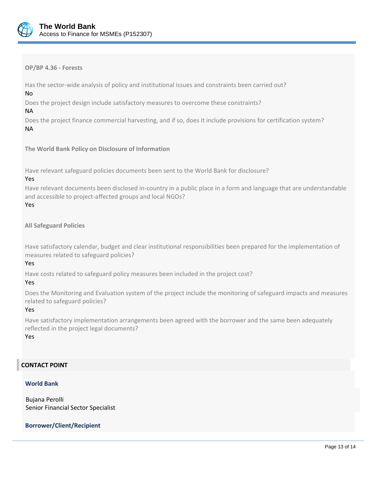

**OP/BP 4.36 - Forests**

Has the sector-wide analysis of policy and institutional issues and constraints been carried out?

No

Does the project design include satisfactory measures to overcome these constraints?

NA

Does the project finance commercial harvesting, and if so, does it include provisions for certification system? NA

**The World Bank Policy on Disclosure of Information**

Have relevant safeguard policies documents been sent to the World Bank for disclosure?

# Yes

Have relevant documents been disclosed in-country in a public place in a form and language that are understandable and accessible to project-affected groups and local NGOs?

# Yes

**All Safeguard Policies**

Have satisfactory calendar, budget and clear institutional responsibilities been prepared for the implementation of measures related to safeguard policies?

# Yes

Have costs related to safeguard policy measures been included in the project cost?

# Yes

Does the Monitoring and Evaluation system of the project include the monitoring of safeguard impacts and measures related to safeguard policies?

# Yes

Have satisfactory implementation arrangements been agreed with the borrower and the same been adequately reflected in the project legal documents?

Yes

# **CONTACT POINT**

# **World Bank**

Bujana Perolli Senior Financial Sector Specialist

# **Borrower/Client/Recipient**